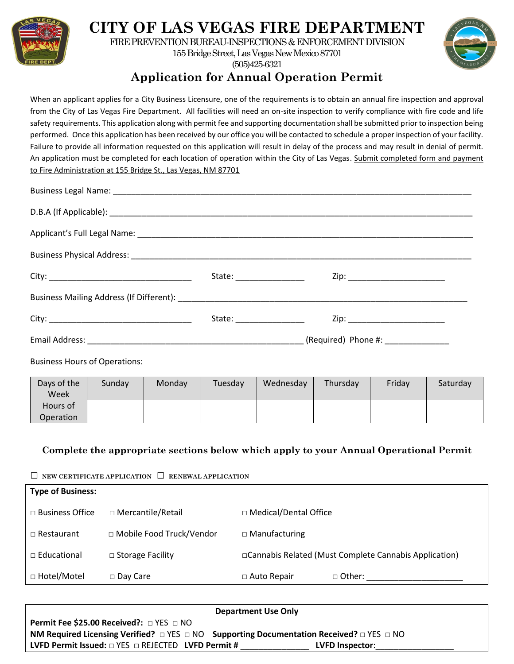

# **CITY OF LAS VEGAS FIRE DEPARTMENT**

FIRE PREVENTION BUREAU-INSPECTIONS & ENFORCEMENT DIVISION

155 Bridge Street, Las Vegas New Mexico 87701 (505)425-6321



### **Application for Annual Operation Permit**

When an applicant applies for a City Business Licensure, one of the requirements is to obtain an annual fire inspection and approval from the City of Las Vegas Fire Department. All facilities will need an on-site inspection to verify compliance with fire code and life safety requirements. This application along with permit fee and supporting documentation shall be submitted prior to inspection being performed. Once this application has been received by our office you will be contacted to schedule a proper inspection of your facility. Failure to provide all information requested on this application will result in delay of the process and may result in denial of permit. An application must be completed for each location of operation within the City of Las Vegas. Submit completed form and payment to Fire Administration at 155 Bridge St., Las Vegas, NM 87701

| State: ___________________ | Zip: ____________________________ |  |
|----------------------------|-----------------------------------|--|
|                            |                                   |  |
|                            | Zip: ____________________________ |  |
|                            |                                   |  |
|                            |                                   |  |

Business Hours of Operations:

| Days of the<br>Week   | Sunday | Monday | Tuesday | Wednesday | Thursday | Friday | Saturday |
|-----------------------|--------|--------|---------|-----------|----------|--------|----------|
| Hours of<br>Operation |        |        |         |           |          |        |          |

#### **Complete the appropriate sections below which apply to your Annual Operational Permit**

□ **NEW CERTIFICATE APPLICATION** □ **RENEWAL APPLICATION**

| <b>Type of Business:</b> |                            |                         |                                                         |  |
|--------------------------|----------------------------|-------------------------|---------------------------------------------------------|--|
| $\Box$ Business Office   | □ Mercantile/Retail        | □ Medical/Dental Office |                                                         |  |
| $\Box$ Restaurant        | □ Mobile Food Truck/Vendor | $\Box$ Manufacturing    |                                                         |  |
| $\Box$ Educational       | $\Box$ Storage Facility    |                         | □ Cannabis Related (Must Complete Cannabis Application) |  |
| □ Hotel/Motel            | $\Box$ Day Care            | $\Box$ Auto Repair      | $\Box$ Other:                                           |  |

| <b>Department Use Only</b>                                                                                          |                 |
|---------------------------------------------------------------------------------------------------------------------|-----------------|
| <b>Permit Fee \$25.00 Received?:</b> $\Box$ YES $\Box$ NO                                                           |                 |
| <b>NM Required Licensing Verified?</b> $\Box$ YES $\Box$ NO Supporting Documentation Received? $\Box$ YES $\Box$ NO |                 |
| <b>LVFD Permit Issued:</b> $\Box$ YES $\Box$ REJECTED <b>LVFD Permit #</b>                                          | LVFD Inspector: |